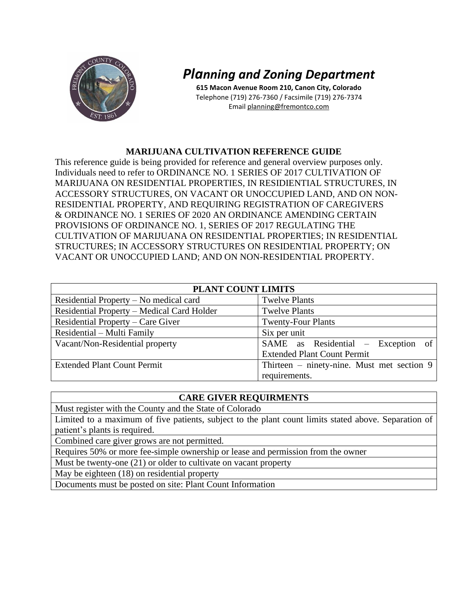

# *Planning and Zoning Department*

**615 Macon Avenue Room 210, Canon City, Colorado** Telephone (719) 276-7360 / Facsimile (719) 276-7374 Email planning@fremontco.com

## **MARIJUANA CULTIVATION REFERENCE GUIDE**

This reference guide is being provided for reference and general overview purposes only. Individuals need to refer to ORDINANCE NO. 1 SERIES OF 2017 CULTIVATION OF MARIJUANA ON RESIDENTIAL PROPERTIES, IN RESIDIENTIAL STRUCTURES, IN ACCESSORY STRUCTURES, ON VACANT OR UNOCCUPIED LAND, AND ON NON-RESIDENTIAL PROPERTY, AND REQUIRING REGISTRATION OF CAREGIVERS & ORDINANCE NO. 1 SERIES OF 2020 AN ORDINANCE AMENDING CERTAIN PROVISIONS OF ORDINANCE NO. 1, SERIES OF 2017 REGULATING THE CULTIVATION OF MARIJUANA ON RESIDENTIAL PROPERTIES; IN RESIDENTIAL STRUCTURES; IN ACCESSORY STRUCTURES ON RESIDENTIAL PROPERTY; ON VACANT OR UNOCCUPIED LAND; AND ON NON-RESIDENTIAL PROPERTY.

| <b>PLANT COUNT LIMITS</b>                  |                                            |
|--------------------------------------------|--------------------------------------------|
| Residential Property – No medical card     | <b>Twelve Plants</b>                       |
| Residential Property - Medical Card Holder | <b>Twelve Plants</b>                       |
| Residential Property – Care Giver          | <b>Twenty-Four Plants</b>                  |
| Residential – Multi Family                 | Six per unit                               |
| Vacant/Non-Residential property            | SAME as Residential – Exception of         |
|                                            | <b>Extended Plant Count Permit</b>         |
| <b>Extended Plant Count Permit</b>         | Thirteen – ninety-nine. Must met section 9 |
|                                            | requirements.                              |

## **CARE GIVER REQUIRMENTS**

Must register with the County and the State of Colorado

Limited to a maximum of five patients, subject to the plant count limits stated above. Separation of patient's plants is required.

Combined care giver grows are not permitted.

Requires 50% or more fee-simple ownership or lease and permission from the owner

Must be twenty-one (21) or older to cultivate on vacant property

May be eighteen (18) on residential property

Documents must be posted on site: Plant Count Information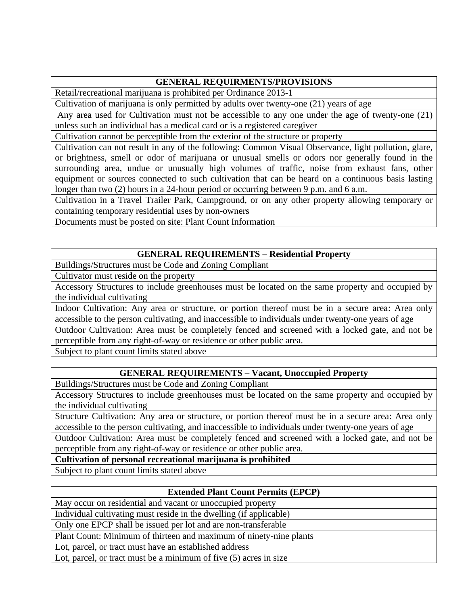## **GENERAL REQUIRMENTS/PROVISIONS**

Retail/recreational marijuana is prohibited per Ordinance 2013-1

Cultivation of marijuana is only permitted by adults over twenty-one (21) years of age

Any area used for Cultivation must not be accessible to any one under the age of twenty-one (21) unless such an individual has a medical card or is a registered caregiver

Cultivation cannot be perceptible from the exterior of the structure or property

Cultivation can not result in any of the following: Common Visual Observance, light pollution, glare, or brightness, smell or odor of marijuana or unusual smells or odors nor generally found in the surrounding area, undue or unusually high volumes of traffic, noise from exhaust fans, other equipment or sources connected to such cultivation that can be heard on a continuous basis lasting longer than two (2) hours in a 24-hour period or occurring between 9 p.m. and 6 a.m.

Cultivation in a Travel Trailer Park, Campground, or on any other property allowing temporary or containing temporary residential uses by non-owners

Documents must be posted on site: Plant Count Information

# **GENERAL REQUIREMENTS – Residential Property**

Buildings/Structures must be Code and Zoning Compliant

Cultivator must reside on the property

Accessory Structures to include greenhouses must be located on the same property and occupied by the individual cultivating

Indoor Cultivation: Any area or structure, or portion thereof must be in a secure area: Area only accessible to the person cultivating, and inaccessible to individuals under twenty-one years of age

Outdoor Cultivation: Area must be completely fenced and screened with a locked gate, and not be perceptible from any right-of-way or residence or other public area.

Subject to plant count limits stated above

# **GENERAL REQUIREMENTS – Vacant, Unoccupied Property**

Buildings/Structures must be Code and Zoning Compliant

Accessory Structures to include greenhouses must be located on the same property and occupied by the individual cultivating

Structure Cultivation: Any area or structure, or portion thereof must be in a secure area: Area only accessible to the person cultivating, and inaccessible to individuals under twenty-one years of age

Outdoor Cultivation: Area must be completely fenced and screened with a locked gate, and not be perceptible from any right-of-way or residence or other public area.

**Cultivation of personal recreational marijuana is prohibited** 

Subject to plant count limits stated above

## **Extended Plant Count Permits (EPCP)**

May occur on residential and vacant or unoccupied property

Individual cultivating must reside in the dwelling (if applicable)

Only one EPCP shall be issued per lot and are non-transferable

Plant Count: Minimum of thirteen and maximum of ninety-nine plants

Lot, parcel, or tract must have an established address

Lot, parcel, or tract must be a minimum of five (5) acres in size